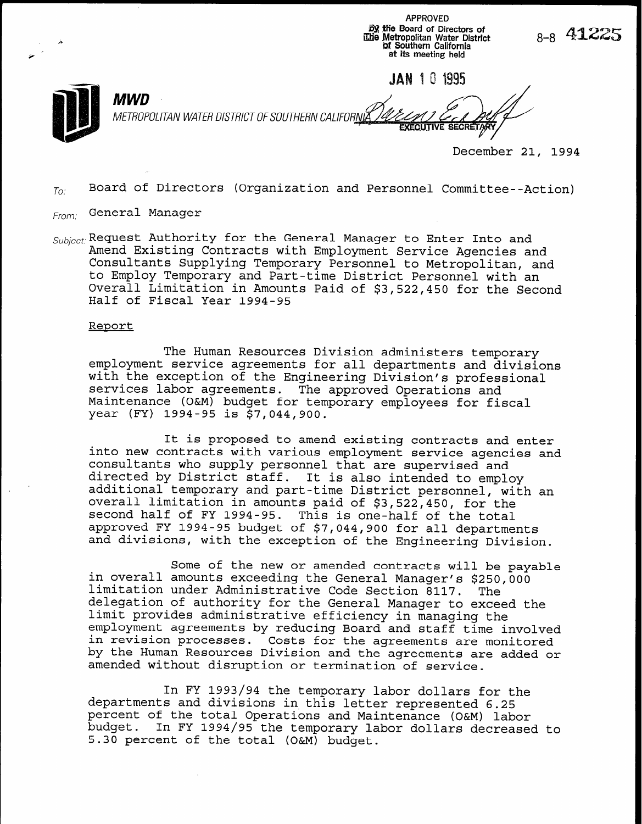APPROVED fill Sfie Board of Directors of ,I il2.b Metropolitan Water District Qf Southern California at its meeting held

JAN 10 1995

**EXECUTIVE SE** 

MWD METROPOLITAN WATER DISTRICT OF SOUTHERN CALIFORNIA

December 21, 1994

8-8 4**1.** 

 $T_{0i}$  Board of Directors (Organization and Personnel Committee--Action)

- From: General Manager
- $Subicct$ : Request Authority for the General Manager to Enter Into and Amend Existing Contracts with Employment Service Agencies and Consultants Supplying Temporary Personnel to Metropolitan, and to Employ Temporary and Part-time District Personnel with an Overall Limitation in Amounts Paid of \$3,522,450 for the Second Half of Fiscal Year 1994-95

#### Report

The Human Resources Division administers temporary employment service agreements for all departments and divisions with the exception of the Engineering Division's professional services labor agreements. The approved Operations and Maintenance (O&M) budget for temporary employees for fiscal year (FY) 1994-95 is \$7,044,900.

It is proposed to amend existing contracts and enter into new contracts with various employment service agencies and consultants who supply personnel that are supervised and directed by District staff. It is also intended to employ additional temporary and part-time District personnel, with an overall limitation in amounts paid of \$3,522,450, for the second half of FY 1994-95. This is one-half of the total approved FY 1994-95 budget of \$7,044,900 for all departments and divisions, with the exception of the Engineering Division.

Some of the new or amended contracts will be payable in overall amounts exceeding the General Manager's  $$250,000$ limitation under Administrative Code Section 8117. The delegation of authority for the General Manager to exceed the limit provides administrative efficiency in managing the employment agreements by reducing Board and staff time involved in revision processes. Costs for the agreements are monitored by the Human Resources Division and the agreements are added or amended without disruption or termination of service.

In FY 1993/94 the temporary labor dollars for the departments and divisions in this letter represented 6.25 percent of the total Operations and Maintenance (O&M) labor budget. In FY 1994/95 the temporary labor dollars decreased to 5.30 percent of the total (O&M) budget.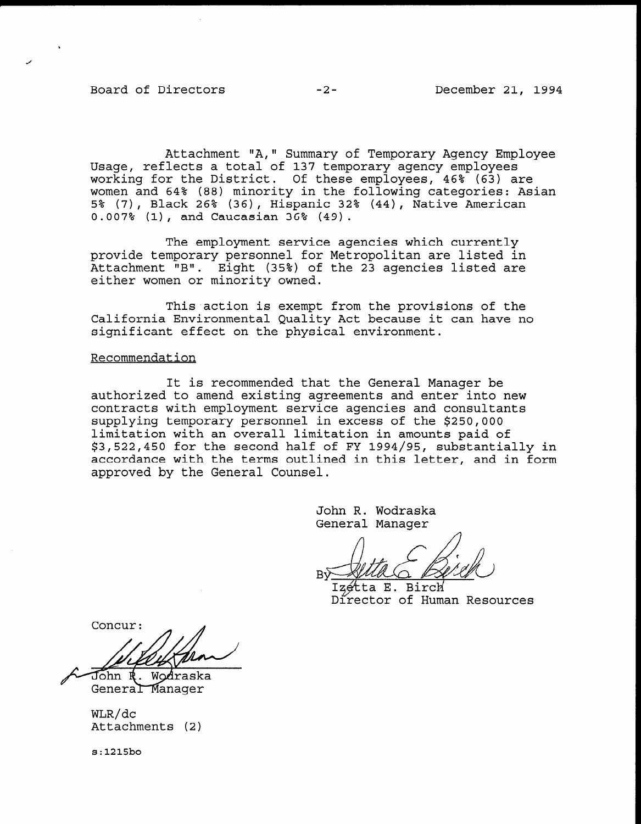Board of Directors -2- December 21, 1994

Attachment "A," Summary of Temporary Agency Employee Usage, reflects a total of 137 temporary agency employees working for the District. Of these employees, 46% (63) are women and 64% (88) minority in the following categories: Asian 5% (7), Black 26% (36), Hispanic 32% (44), Native American 0.007% (l), and Caucasian 36% (49).

The employment service agencies which currently provide temporary personnel for Metropolitan are listed in Attachment "B". Eight (35%) of the 23 agencies listed are either women or minority owned.

This action is exempt from the provisions of the California Environmental Quality Act because it can have no significant effect on the physical environment.

### Recommendation

It is recommended that the General Manager be authorized to amend existing agreements and enter into new contracts with employment service agencies and consultants concracts with emproyment service agencies and consult limitation with an overall limitation in amounts paid of limitation with an overall limitation in amounts paid of<br>\$3,522,450 for the second half of FY 1994/95, substantially in accordance with the terms outlined in this letter, and in form approved by the General Counsel.

> John R. Wodraska John R. Wodrask

Izétta E. Birch Director of Human Resources

Concur:

John R. Wodraska General Manager

WLR/dc<br>Attachments (2)

 $s:1215bo$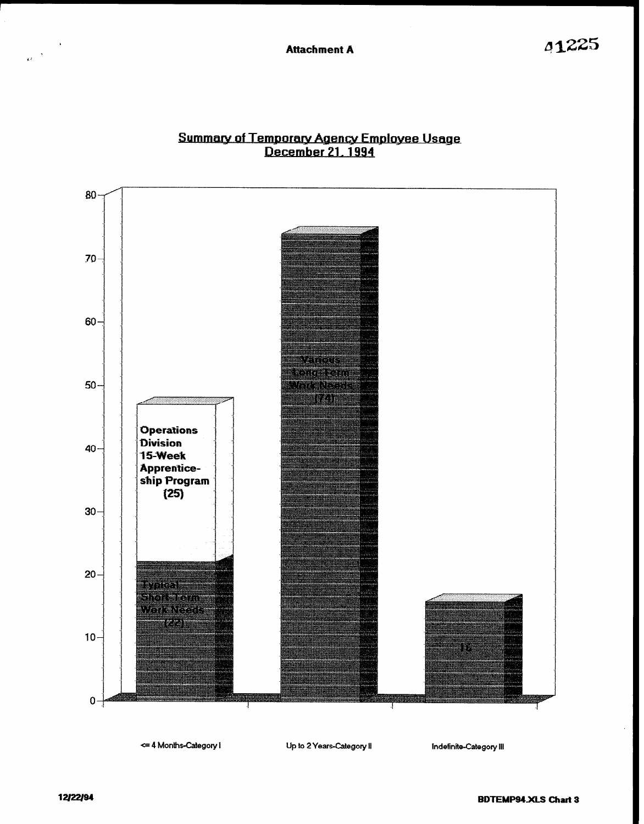

# Summary of Temporary Agency Employee Usage<br>December 21, 1994

12/22/94

 $\frac{1}{\omega}$ 

**BDTEMP94.XLS Chart 3**